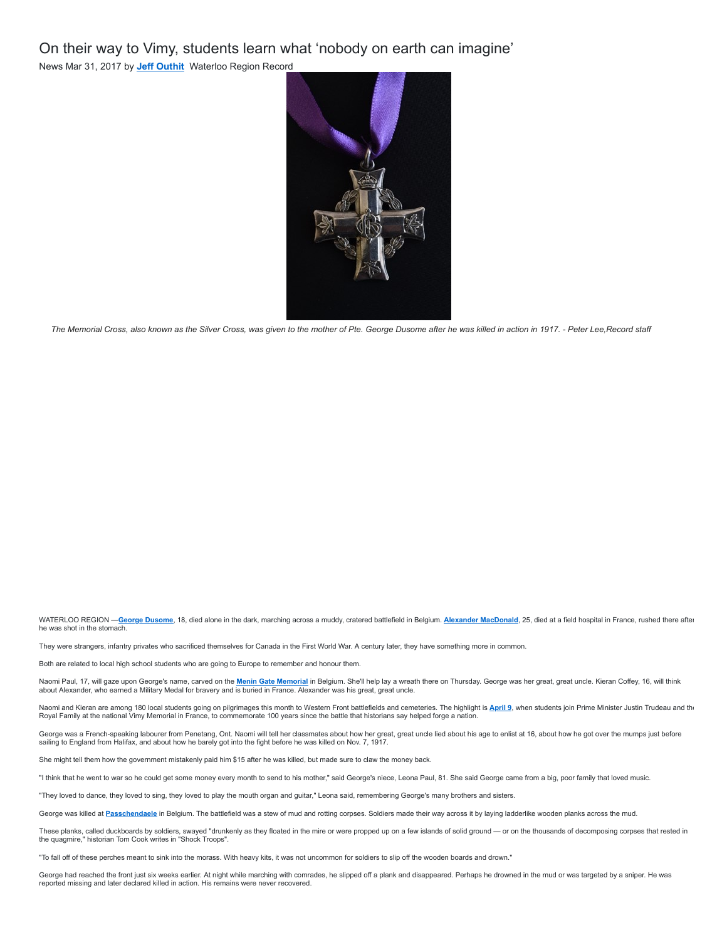On their way to Vimy, students learn what 'nobody on earth can imagine'

News Mar 31, 2017 by **[Jeff Outhit](https://www.mykawartha.com/kawartha-author/jeff-outhit/CB820047-326C-44D3-9B62-2098CF76324A/)** Waterloo Region Record



*The Memorial Cross, also known as the Silver Cross, was given to the mother of Pte. George Dusome after he was killed in action in 1917. - Peter Lee,Record staff*

WATERLOO REGION -[George Dusome](http://www.bac-lac.gc.ca/eng/discover/military-heritage/first-world-war/personnel-records/Pages/item.aspx?IdNumber=373048), 18, died alone in the dark, marching across a muddy, cratered battlefield in Belgium. **[Alexander MacDonald](http://www.bac-lac.gc.ca/eng/discover/military-heritage/first-world-war/personnel-records/Pages/item.aspx?IdNumber=141073)**, 25, died at a field hospital in France, rushed there after he was shot in the stomach.

They were strangers, infantry privates who sacrificed themselves for Canada in the First World War. A century later, they have something more in common.

Both are related to local high school students who are going to Europe to remember and honour them.

Naomi Paul, 17, will gaze upon George's name, carved on the <u>[Menin Gate Memorial](http://www.cwgc.org/find-a-cemetery/cemetery/91800/YPRES%20(MENIN%20GATE)%20MEMORIAL)</u> in Belgium. She'll help lay a wreath there on Thursday. George was her great, great uncle. Kieran Coffey, 16, will think<br>about Alexander, wh

Naomi and Kieran are among 180 local students going on pilgrimages this month to Western Front battlefields and cemeteries. The highlight is <mark>[April 9](http://pm.gc.ca/eng/news/2017/03/24/prime-minister-travel-france-100th-anniversary-battle-vimy-ridge)</mark>, when students join Prime Minister Justin Trudeau and the Royal Family at the national Vimy Memorial in France, to commemorate 100 years since the battle that historians say helped forge a nation.

George was a French-speaking labourer from Penetang, Ont. Naomi will tell her classmates about how her great, great uncle lied about his age to enlist at 16, about how he got over the mumps just before sailing to England from Halifax, and about how he barely got into the fight before he was killed on Nov. 7, 1917.

She might tell them how the government mistakenly paid him \$15 after he was killed, but made sure to claw the money back.

"I think that he went to war so he could get some money every month to send to his mother," said George's niece, Leona Paul, 81. She said George came from a big, poor family that loved music.

"They loved to dance, they loved to sing, they loved to play the mouth organ and guitar," Leona said, remembering George's many brothers and sisters.

George was killed at [Passchendaele](http://www.warmuseum.ca/firstworldwar/history/battles-and-fighting/land-battles/passchendaele/) in Belgium. The battlefield was a stew of mud and rotting corpses. Soldiers made their way across it by laying ladderlike wooden planks across the mud.

These planks, called duckboards by soldiers, swayed "drunkenly as they floated in the mire or were propped up on a few islands of solid ground — or on the thousands of decomposing corpses that rested in the quagmire," historian Tom Cook writes in "Shock Troops".

"To fall off of these perches meant to sink into the morass. With heavy kits, it was not uncommon for soldiers to slip off the wooden boards and drown."

George had reached the front just six weeks earlier. At night while marching with comrades, he slipped off a plank and disappeared. Perhaps he drowned in the mud or was targeted by a sniper. He was reported missing and later declared killed in action. His remains were never recovered.